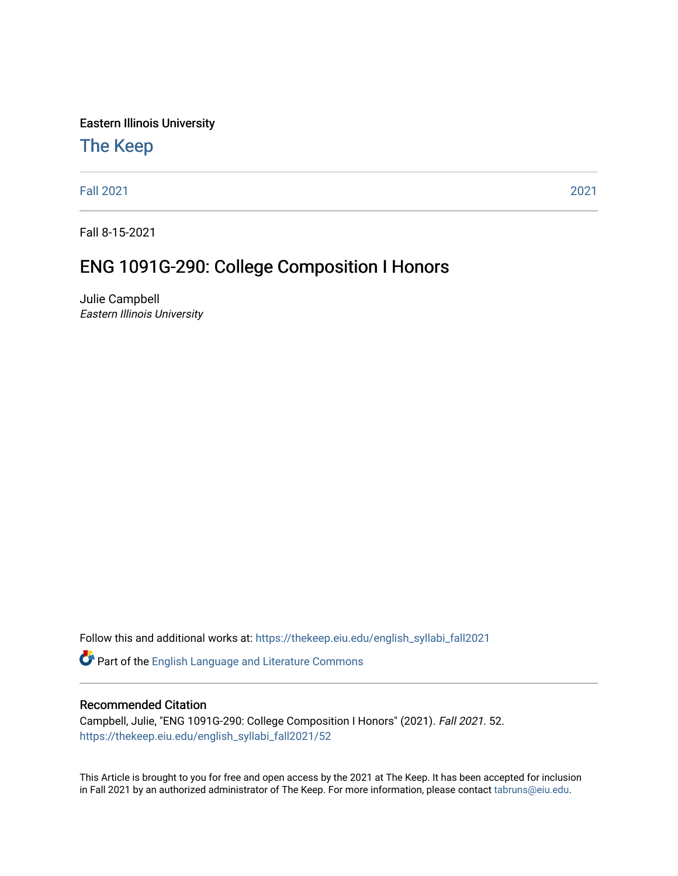Eastern Illinois University

## [The Keep](https://thekeep.eiu.edu/)

[Fall 2021](https://thekeep.eiu.edu/english_syllabi_fall2021) [2021](https://thekeep.eiu.edu/english_syllabi2021) 

Fall 8-15-2021

# ENG 1091G-290: College Composition I Honors

Julie Campbell Eastern Illinois University

Follow this and additional works at: [https://thekeep.eiu.edu/english\\_syllabi\\_fall2021](https://thekeep.eiu.edu/english_syllabi_fall2021?utm_source=thekeep.eiu.edu%2Fenglish_syllabi_fall2021%2F52&utm_medium=PDF&utm_campaign=PDFCoverPages) 

Part of the [English Language and Literature Commons](http://network.bepress.com/hgg/discipline/455?utm_source=thekeep.eiu.edu%2Fenglish_syllabi_fall2021%2F52&utm_medium=PDF&utm_campaign=PDFCoverPages)

#### Recommended Citation

Campbell, Julie, "ENG 1091G-290: College Composition I Honors" (2021). Fall 2021. 52. [https://thekeep.eiu.edu/english\\_syllabi\\_fall2021/52](https://thekeep.eiu.edu/english_syllabi_fall2021/52?utm_source=thekeep.eiu.edu%2Fenglish_syllabi_fall2021%2F52&utm_medium=PDF&utm_campaign=PDFCoverPages)

This Article is brought to you for free and open access by the 2021 at The Keep. It has been accepted for inclusion in Fall 2021 by an authorized administrator of The Keep. For more information, please contact [tabruns@eiu.edu](mailto:tabruns@eiu.edu).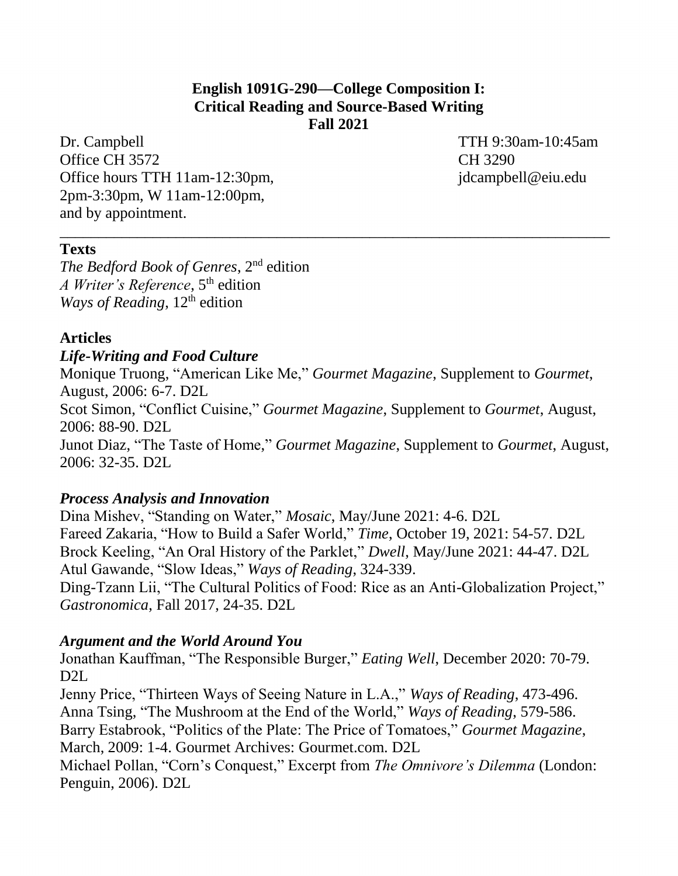#### **English 1091G-290—College Composition I: Critical Reading and Source-Based Writing Fall 2021**

\_\_\_\_\_\_\_\_\_\_\_\_\_\_\_\_\_\_\_\_\_\_\_\_\_\_\_\_\_\_\_\_\_\_\_\_\_\_\_\_\_\_\_\_\_\_\_\_\_\_\_\_\_\_\_\_\_\_\_\_\_\_\_\_\_\_\_\_\_\_\_

Dr. Campbell TTH 9:30am-10:45am Office CH 3572 CH 3290 Office hours TTH 11am-12:30pm, jdcampbell@eiu.edu 2pm-3:30pm, W 11am-12:00pm, and by appointment.

#### **Texts**

*The Bedford Book of Genres*, 2nd edition *A Writer's Reference*, 5<sup>th</sup> edition *Ways of Reading*, 12<sup>th</sup> edition

#### **Articles**

#### *Life-Writing and Food Culture*

Monique Truong, "American Like Me," *Gourmet Magazine*, Supplement to *Gourmet*, August, 2006: 6-7. D2L Scot Simon, "Conflict Cuisine," *Gourmet Magazine*, Supplement to *Gourmet*, August, 2006: 88-90. D2L Junot Diaz, "The Taste of Home," *Gourmet Magazine*, Supplement to *Gourmet*, August, 2006: 32-35. D2L

#### *Process Analysis and Innovation*

Dina Mishev, "Standing on Water," *Mosaic*, May/June 2021: 4-6. D2L Fareed Zakaria, "How to Build a Safer World," *Time*, October 19, 2021: 54-57. D2L Brock Keeling, "An Oral History of the Parklet," *Dwell*, May/June 2021: 44-47. D2L Atul Gawande, "Slow Ideas," *Ways of Reading*, 324-339. Ding-Tzann Lii, "The Cultural Politics of Food: Rice as an Anti-Globalization Project," *Gastronomica*, Fall 2017, 24-35. D2L

#### *Argument and the World Around You*

Jonathan Kauffman, "The Responsible Burger," *Eating Well*, December 2020: 70-79. D2L

Jenny Price, "Thirteen Ways of Seeing Nature in L.A.," *Ways of Reading*, 473-496. Anna Tsing, "The Mushroom at the End of the World," *Ways of Reading*, 579-586. Barry Estabrook, "Politics of the Plate: The Price of Tomatoes," *Gourmet Magazine*, March, 2009: 1-4. Gourmet Archives: Gourmet.com. D2L

Michael Pollan, "Corn's Conquest," Excerpt from *The Omnivore's Dilemma* (London: Penguin, 2006). D2L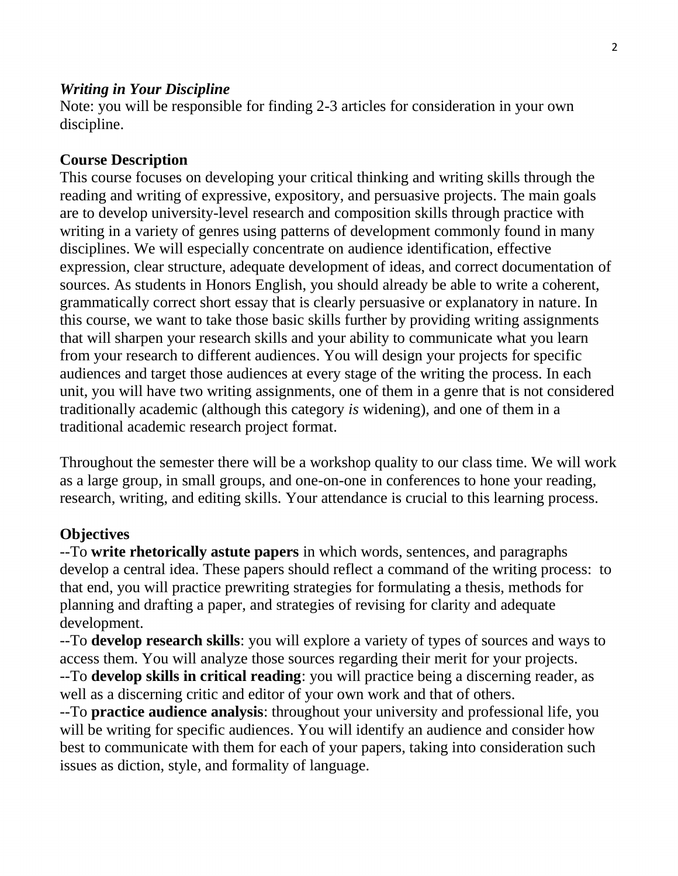#### *Writing in Your Discipline*

Note: you will be responsible for finding 2-3 articles for consideration in your own discipline.

#### **Course Description**

This course focuses on developing your critical thinking and writing skills through the reading and writing of expressive, expository, and persuasive projects. The main goals are to develop university-level research and composition skills through practice with writing in a variety of genres using patterns of development commonly found in many disciplines. We will especially concentrate on audience identification, effective expression, clear structure, adequate development of ideas, and correct documentation of sources. As students in Honors English, you should already be able to write a coherent, grammatically correct short essay that is clearly persuasive or explanatory in nature. In this course, we want to take those basic skills further by providing writing assignments that will sharpen your research skills and your ability to communicate what you learn from your research to different audiences. You will design your projects for specific audiences and target those audiences at every stage of the writing the process. In each unit, you will have two writing assignments, one of them in a genre that is not considered traditionally academic (although this category *is* widening), and one of them in a traditional academic research project format.

Throughout the semester there will be a workshop quality to our class time. We will work as a large group, in small groups, and one-on-one in conferences to hone your reading, research, writing, and editing skills. Your attendance is crucial to this learning process.

#### **Objectives**

--To **write rhetorically astute papers** in which words, sentences, and paragraphs develop a central idea. These papers should reflect a command of the writing process: to that end, you will practice prewriting strategies for formulating a thesis, methods for planning and drafting a paper, and strategies of revising for clarity and adequate development.

--To **develop research skills**: you will explore a variety of types of sources and ways to access them. You will analyze those sources regarding their merit for your projects.

--To **develop skills in critical reading**: you will practice being a discerning reader, as well as a discerning critic and editor of your own work and that of others.

--To **practice audience analysis**: throughout your university and professional life, you will be writing for specific audiences. You will identify an audience and consider how best to communicate with them for each of your papers, taking into consideration such issues as diction, style, and formality of language.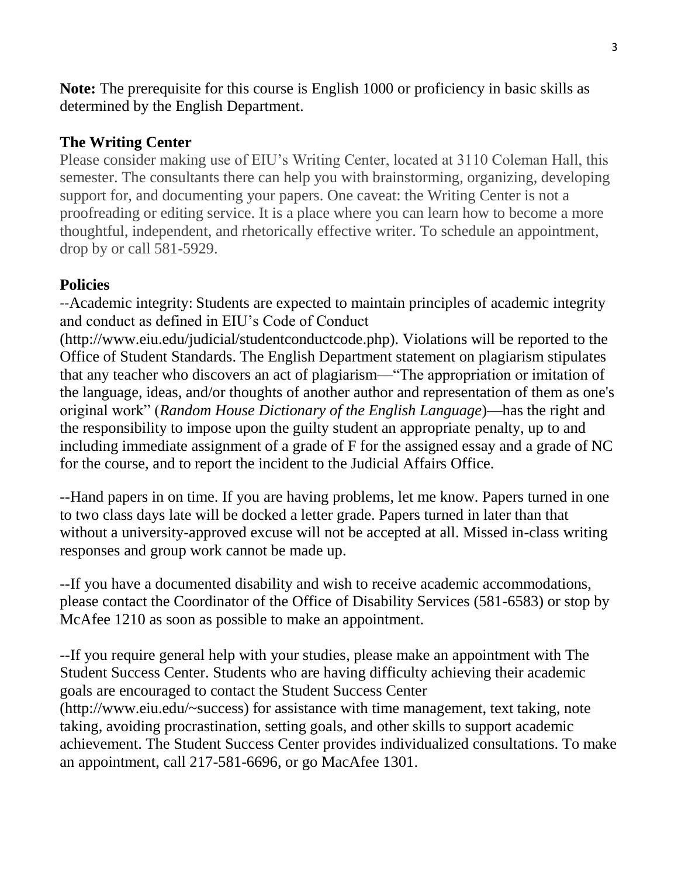**Note:** The prerequisite for this course is English 1000 or proficiency in basic skills as determined by the English Department.

### **The Writing Center**

Please consider making use of EIU's Writing Center, located at 3110 Coleman Hall, this semester. The consultants there can help you with brainstorming, organizing, developing support for, and documenting your papers. One caveat: the Writing Center is not a proofreading or editing service. It is a place where you can learn how to become a more thoughtful, independent, and rhetorically effective writer. To schedule an appointment, drop by or call 581-5929.

## **Policies**

--Academic integrity: Students are expected to maintain principles of academic integrity and conduct as defined in EIU's Code of Conduct

(http://www.eiu.edu/judicial/studentconductcode.php). Violations will be reported to the Office of Student Standards. The English Department statement on plagiarism stipulates that any teacher who discovers an act of plagiarism—"The appropriation or imitation of the language, ideas, and/or thoughts of another author and representation of them as one's original work" (*Random House Dictionary of the English Language*)—has the right and the responsibility to impose upon the guilty student an appropriate penalty, up to and including immediate assignment of a grade of F for the assigned essay and a grade of NC for the course, and to report the incident to the Judicial Affairs Office.

--Hand papers in on time. If you are having problems, let me know. Papers turned in one to two class days late will be docked a letter grade. Papers turned in later than that without a university-approved excuse will not be accepted at all. Missed in-class writing responses and group work cannot be made up.

--If you have a documented disability and wish to receive academic accommodations, please contact the Coordinator of the Office of Disability Services (581-6583) or stop by McAfee 1210 as soon as possible to make an appointment.

--If you require general help with your studies, please make an appointment with The Student Success Center. Students who are having difficulty achieving their academic goals are encouraged to contact the Student Success Center (http://www.eiu.edu/~success) for assistance with time management, text taking, note taking, avoiding procrastination, setting goals, and other skills to support academic achievement. The Student Success Center provides individualized consultations. To make an appointment, call 217-581-6696, or go MacAfee 1301.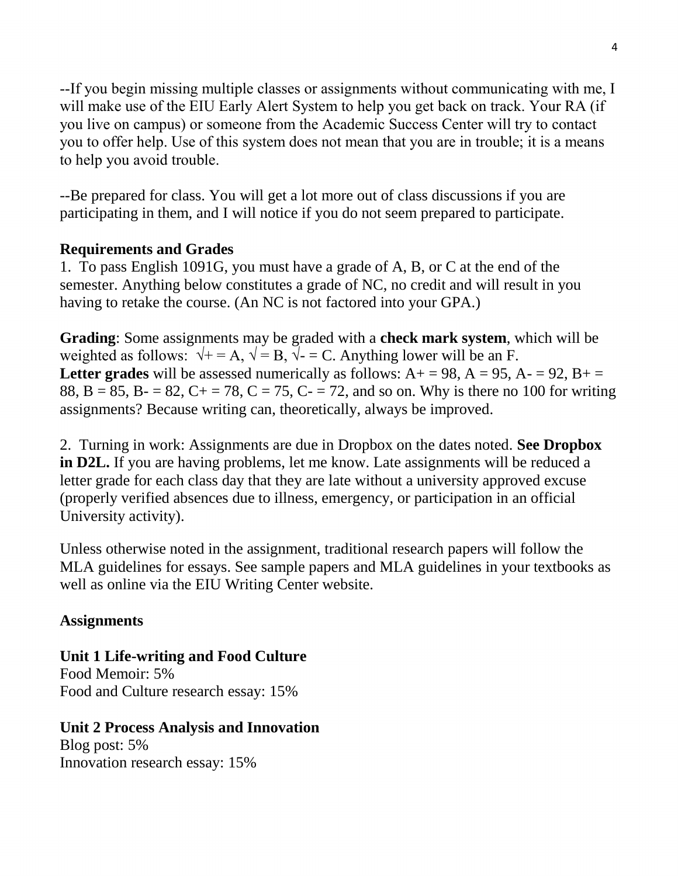--If you begin missing multiple classes or assignments without communicating with me, I will make use of the EIU Early Alert System to help you get back on track. Your RA (if you live on campus) or someone from the Academic Success Center will try to contact you to offer help. Use of this system does not mean that you are in trouble; it is a means to help you avoid trouble.

--Be prepared for class. You will get a lot more out of class discussions if you are participating in them, and I will notice if you do not seem prepared to participate.

### **Requirements and Grades**

1. To pass English 1091G, you must have a grade of A, B, or C at the end of the semester. Anything below constitutes a grade of NC, no credit and will result in you having to retake the course. (An NC is not factored into your GPA.)

**Grading**: Some assignments may be graded with a **check mark system**, which will be weighted as follows:  $\sqrt{+} = A$ ,  $\sqrt{=} B$ ,  $\sqrt{-} C$ . Anything lower will be an F. **Letter grades** will be assessed numerically as follows:  $A + 98$ ,  $A = 95$ ,  $A - 92$ ,  $B + 7$ 88, B = 85, B - = 82, C + = 78, C = 75, C - = 72, and so on. Why is there no 100 for writing assignments? Because writing can, theoretically, always be improved.

2. Turning in work: Assignments are due in Dropbox on the dates noted. **See Dropbox in D2L.** If you are having problems, let me know. Late assignments will be reduced a letter grade for each class day that they are late without a university approved excuse (properly verified absences due to illness, emergency, or participation in an official University activity).

Unless otherwise noted in the assignment, traditional research papers will follow the MLA guidelines for essays. See sample papers and MLA guidelines in your textbooks as well as online via the EIU Writing Center website.

## **Assignments**

**Unit 1 Life-writing and Food Culture**  Food Memoir: 5% Food and Culture research essay: 15%

## **Unit 2 Process Analysis and Innovation**

Blog post: 5% Innovation research essay: 15%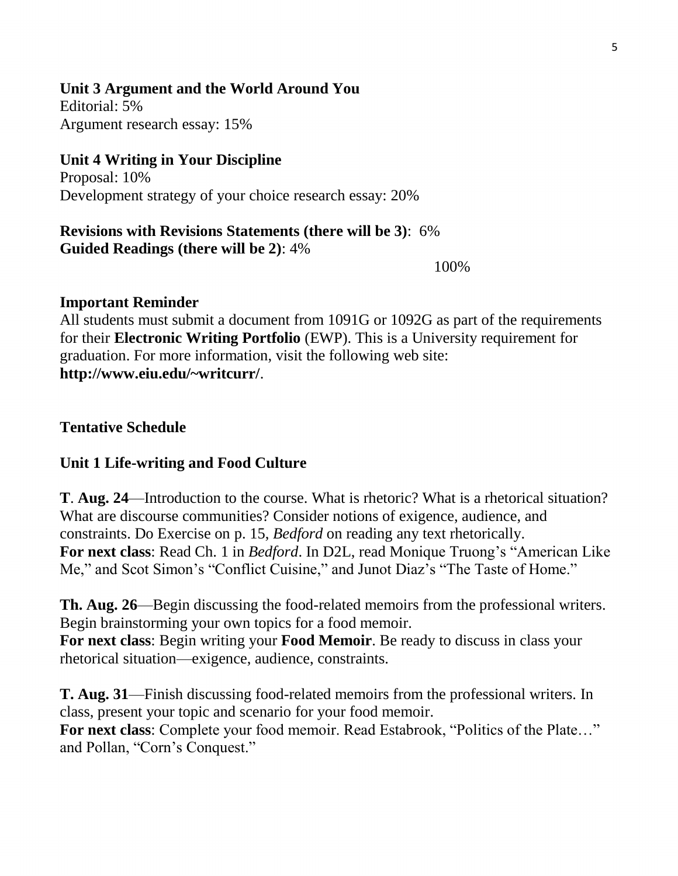### **Unit 3 Argument and the World Around You**

Editorial: 5% Argument research essay: 15%

## **Unit 4 Writing in Your Discipline**

Proposal: 10% Development strategy of your choice research essay: 20%

#### **Revisions with Revisions Statements (there will be 3)**:6% **Guided Readings (there will be 2)**: 4%

100%

#### **Important Reminder**

All students must submit a document from 1091G or 1092G as part of the requirements for their **Electronic Writing Portfolio** (EWP). This is a University requirement for graduation. For more information, visit the following web site: **http://www.eiu.edu/~writcurr/**.

#### **Tentative Schedule**

### **Unit 1 Life-writing and Food Culture**

**T**. **Aug. 24**—Introduction to the course. What is rhetoric? What is a rhetorical situation? What are discourse communities? Consider notions of exigence, audience, and constraints. Do Exercise on p. 15, *Bedford* on reading any text rhetorically. **For next class**: Read Ch. 1 in *Bedford*. In D2L, read Monique Truong's "American Like Me," and Scot Simon's "Conflict Cuisine," and Junot Diaz's "The Taste of Home."

**Th. Aug. 26**—Begin discussing the food-related memoirs from the professional writers. Begin brainstorming your own topics for a food memoir. **For next class**: Begin writing your **Food Memoir**. Be ready to discuss in class your rhetorical situation—exigence, audience, constraints.

**T. Aug. 31**—Finish discussing food-related memoirs from the professional writers. In class, present your topic and scenario for your food memoir.

**For next class**: Complete your food memoir. Read Estabrook, "Politics of the Plate…" and Pollan, "Corn's Conquest."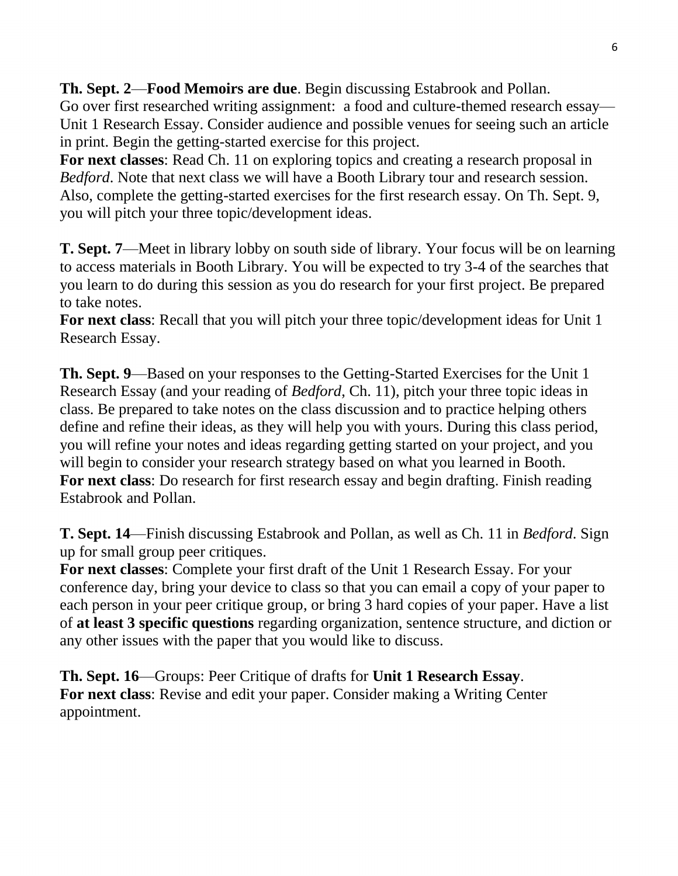**Th. Sept. 2**—**Food Memoirs are due**. Begin discussing Estabrook and Pollan.

Go over first researched writing assignment: a food and culture-themed research essay— Unit 1 Research Essay. Consider audience and possible venues for seeing such an article in print. Begin the getting-started exercise for this project.

**For next classes**: Read Ch. 11 on exploring topics and creating a research proposal in *Bedford*. Note that next class we will have a Booth Library tour and research session. Also, complete the getting-started exercises for the first research essay. On Th. Sept. 9, you will pitch your three topic/development ideas.

**T. Sept. 7**—Meet in library lobby on south side of library. Your focus will be on learning to access materials in Booth Library. You will be expected to try 3-4 of the searches that you learn to do during this session as you do research for your first project. Be prepared to take notes.

**For next class**: Recall that you will pitch your three topic/development ideas for Unit 1 Research Essay.

**Th. Sept. 9**—Based on your responses to the Getting-Started Exercises for the Unit 1 Research Essay (and your reading of *Bedford*, Ch. 11), pitch your three topic ideas in class. Be prepared to take notes on the class discussion and to practice helping others define and refine their ideas, as they will help you with yours. During this class period, you will refine your notes and ideas regarding getting started on your project, and you will begin to consider your research strategy based on what you learned in Booth. **For next class**: Do research for first research essay and begin drafting. Finish reading Estabrook and Pollan.

**T. Sept. 14**—Finish discussing Estabrook and Pollan, as well as Ch. 11 in *Bedford*. Sign up for small group peer critiques.

**For next classes**: Complete your first draft of the Unit 1 Research Essay. For your conference day, bring your device to class so that you can email a copy of your paper to each person in your peer critique group, or bring 3 hard copies of your paper. Have a list of **at least 3 specific questions** regarding organization, sentence structure, and diction or any other issues with the paper that you would like to discuss.

**Th. Sept. 16**—Groups: Peer Critique of drafts for **Unit 1 Research Essay**. **For next class**: Revise and edit your paper. Consider making a Writing Center appointment.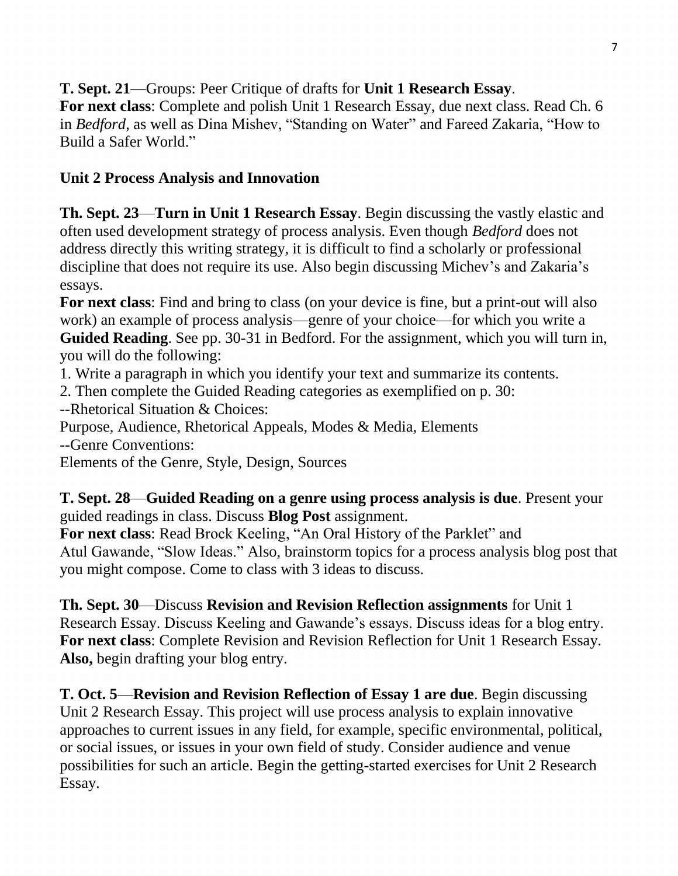**T. Sept. 21**—Groups: Peer Critique of drafts for **Unit 1 Research Essay**.

**For next class**: Complete and polish Unit 1 Research Essay, due next class. Read Ch. 6 in *Bedford*, as well as Dina Mishev, "Standing on Water" and Fareed Zakaria, "How to Build a Safer World."

## **Unit 2 Process Analysis and Innovation**

**Th. Sept. 23**—**Turn in Unit 1 Research Essay**. Begin discussing the vastly elastic and often used development strategy of process analysis. Even though *Bedford* does not address directly this writing strategy, it is difficult to find a scholarly or professional discipline that does not require its use. Also begin discussing Michev's and Zakaria's essays.

**For next class**: Find and bring to class (on your device is fine, but a print-out will also work) an example of process analysis—genre of your choice—for which you write a **Guided Reading**. See pp. 30-31 in Bedford. For the assignment, which you will turn in, you will do the following:

1. Write a paragraph in which you identify your text and summarize its contents.

2. Then complete the Guided Reading categories as exemplified on p. 30:

--Rhetorical Situation & Choices:

Purpose, Audience, Rhetorical Appeals, Modes & Media, Elements --Genre Conventions:

Elements of the Genre, Style, Design, Sources

**T. Sept. 28**—**Guided Reading on a genre using process analysis is due**. Present your guided readings in class. Discuss **Blog Post** assignment.

**For next class**: Read Brock Keeling, "An Oral History of the Parklet" and Atul Gawande, "Slow Ideas." Also, brainstorm topics for a process analysis blog post that you might compose. Come to class with 3 ideas to discuss.

**Th. Sept. 30**—Discuss **Revision and Revision Reflection assignments** for Unit 1 Research Essay. Discuss Keeling and Gawande's essays. Discuss ideas for a blog entry. **For next class**: Complete Revision and Revision Reflection for Unit 1 Research Essay. **Also,** begin drafting your blog entry.

**T. Oct. 5**—**Revision and Revision Reflection of Essay 1 are due**. Begin discussing Unit 2 Research Essay. This project will use process analysis to explain innovative approaches to current issues in any field, for example, specific environmental, political, or social issues, or issues in your own field of study. Consider audience and venue possibilities for such an article. Begin the getting-started exercises for Unit 2 Research Essay.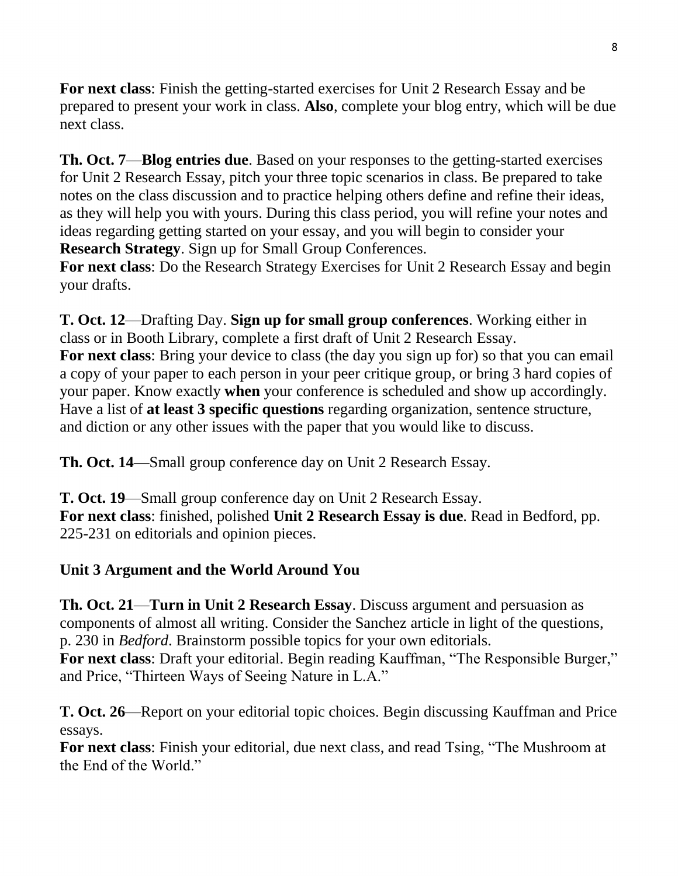**For next class**: Finish the getting-started exercises for Unit 2 Research Essay and be prepared to present your work in class. **Also**, complete your blog entry, which will be due next class.

**Th. Oct. 7**—**Blog entries due**. Based on your responses to the getting-started exercises for Unit 2 Research Essay, pitch your three topic scenarios in class. Be prepared to take notes on the class discussion and to practice helping others define and refine their ideas, as they will help you with yours. During this class period, you will refine your notes and ideas regarding getting started on your essay, and you will begin to consider your **Research Strategy**. Sign up for Small Group Conferences.

**For next class**: Do the Research Strategy Exercises for Unit 2 Research Essay and begin your drafts.

**T. Oct. 12**—Drafting Day. **Sign up for small group conferences**. Working either in class or in Booth Library, complete a first draft of Unit 2 Research Essay. **For next class**: Bring your device to class (the day you sign up for) so that you can email a copy of your paper to each person in your peer critique group, or bring 3 hard copies of your paper. Know exactly **when** your conference is scheduled and show up accordingly. Have a list of **at least 3 specific questions** regarding organization, sentence structure, and diction or any other issues with the paper that you would like to discuss.

**Th. Oct. 14**—Small group conference day on Unit 2 Research Essay.

**T. Oct. 19**—Small group conference day on Unit 2 Research Essay. **For next class**: finished, polished **Unit 2 Research Essay is due**. Read in Bedford, pp. 225-231 on editorials and opinion pieces.

## **Unit 3 Argument and the World Around You**

**Th. Oct. 21**—**Turn in Unit 2 Research Essay**. Discuss argument and persuasion as components of almost all writing. Consider the Sanchez article in light of the questions, p. 230 in *Bedford*. Brainstorm possible topics for your own editorials.

**For next class**: Draft your editorial. Begin reading Kauffman, "The Responsible Burger," and Price, "Thirteen Ways of Seeing Nature in L.A."

**T. Oct. 26**—Report on your editorial topic choices. Begin discussing Kauffman and Price essays.

**For next class**: Finish your editorial, due next class, and read Tsing, "The Mushroom at the End of the World."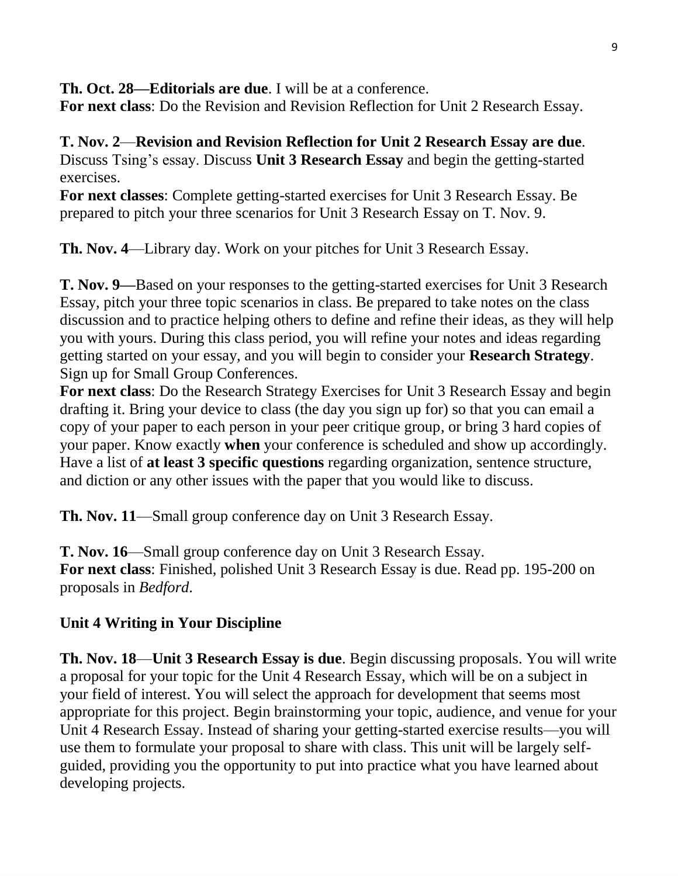**Th. Oct. 28—Editorials are due**. I will be at a conference.

**For next class**: Do the Revision and Revision Reflection for Unit 2 Research Essay.

**T. Nov. 2**—**Revision and Revision Reflection for Unit 2 Research Essay are due**. Discuss Tsing's essay. Discuss **Unit 3 Research Essay** and begin the getting-started exercises.

**For next classes**: Complete getting-started exercises for Unit 3 Research Essay. Be prepared to pitch your three scenarios for Unit 3 Research Essay on T. Nov. 9.

**Th. Nov. 4**—Library day. Work on your pitches for Unit 3 Research Essay.

**T. Nov. 9—**Based on your responses to the getting-started exercises for Unit 3 Research Essay, pitch your three topic scenarios in class. Be prepared to take notes on the class discussion and to practice helping others to define and refine their ideas, as they will help you with yours. During this class period, you will refine your notes and ideas regarding getting started on your essay, and you will begin to consider your **Research Strategy**. Sign up for Small Group Conferences.

**For next class**: Do the Research Strategy Exercises for Unit 3 Research Essay and begin drafting it. Bring your device to class (the day you sign up for) so that you can email a copy of your paper to each person in your peer critique group, or bring 3 hard copies of your paper. Know exactly **when** your conference is scheduled and show up accordingly. Have a list of **at least 3 specific questions** regarding organization, sentence structure, and diction or any other issues with the paper that you would like to discuss.

**Th. Nov. 11**—Small group conference day on Unit 3 Research Essay.

**T. Nov. 16**—Small group conference day on Unit 3 Research Essay. **For next class**: Finished, polished Unit 3 Research Essay is due. Read pp. 195-200 on proposals in *Bedford*.

## **Unit 4 Writing in Your Discipline**

**Th. Nov. 18**—**Unit 3 Research Essay is due**. Begin discussing proposals. You will write a proposal for your topic for the Unit 4 Research Essay, which will be on a subject in your field of interest. You will select the approach for development that seems most appropriate for this project. Begin brainstorming your topic, audience, and venue for your Unit 4 Research Essay. Instead of sharing your getting-started exercise results—you will use them to formulate your proposal to share with class. This unit will be largely selfguided, providing you the opportunity to put into practice what you have learned about developing projects.